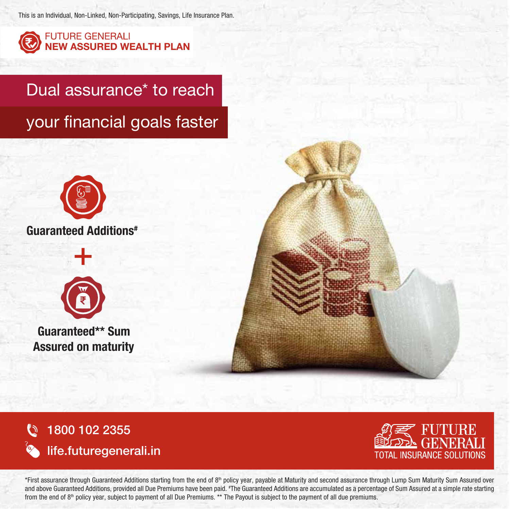This is an Individual, Non-Linked, Non-Participating, Savings, Life Insurance Plan.



**FUTURE GENERALI** NEW ASSURED WEALTH PLAN

Dual assurance<sup>\*</sup> to reach your financial goals faster





Guaranteed\*\* Sum Assured on maturity

1800 102 2355 (C)



life.futuregenerali.in

\*First assurance through Guaranteed Additions starting from the end of 8<sup>th</sup> policy year, payable at Maturity and second assurance through Lump Sum Maturity Sum Assured over and above Guaranteed Additions, provided all Due Premiums have been paid. \*The Guaranteed Additions are accumulated as a percentage of Sum Assured at a simple rate starting from the end of  $8<sup>th</sup>$  policy year, subject to payment of all Due Premiums. \*\* The Payout is subject to the payment of all due premiums.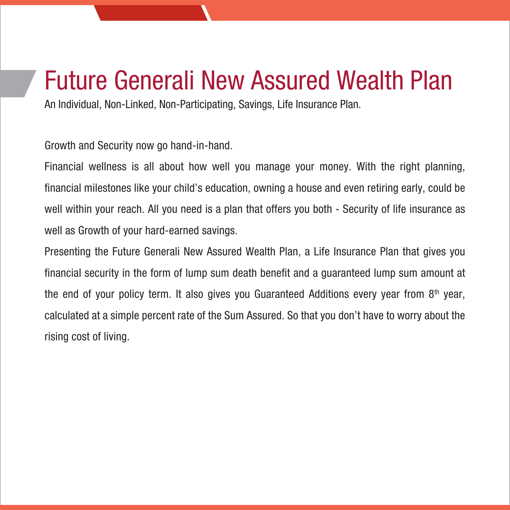## Future Generali New Assured Wealth Plan

An Individual, Non-Linked, Non-Participating, Savings, Life Insurance Plan.

Growth and Security now go hand-in-hand.

Financial wellness is all about how well you manage your money. With the right planning, financial milestones like your child's education, owning a house and even retiring early, could be well within your reach. All you need is a plan that offers you both - Security of life insurance as well as Growth of your hard-earned savings.

Presenting the Future Generali New Assured Wealth Plan, a Life Insurance Plan that gives you financial security in the form of lump sum death benefit and a guaranteed lump sum amount at the end of your policy term. It also gives you Guaranteed Additions every year from  $8<sup>th</sup>$  year, calculated at a simple percent rate of the Sum Assured. So that you don't have to worry about the rising cost of living.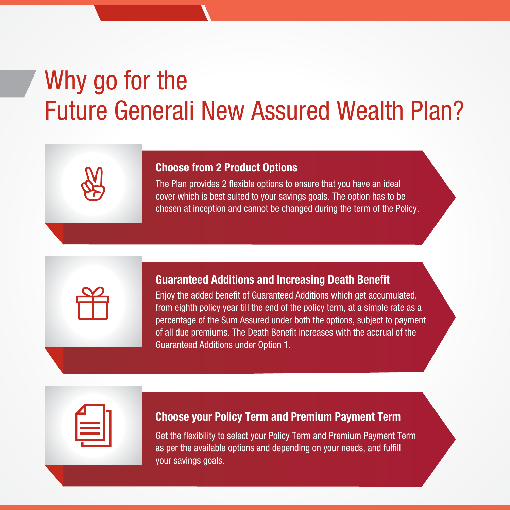# Why go for the Future Generali New Assured Wealth Plan?

#### Choose from 2 Product Options

The Plan provides 2 flexible options to ensure that you have an ideal cover which is best suited to your savings goals. The option has to be chosen at inception and cannot be changed during the term of the Policy.

#### Guaranteed Additions and Increasing Death Benefit

Enjoy the added benefit of Guaranteed Additions which get accumulated, from eighth policy year till the end of the policy term, at a simple rate as a percentage of the Sum Assured under both the options, subject to payment of all due premiums. The Death Benefit increases with the accrual of the Guaranteed Additions under Option 1.

#### Choose your Policy Term and Premium Payment Term

Get the flexibility to select your Policy Term and Premium Payment Term as per the available options and depending on your needs, and fulfill your savings goals.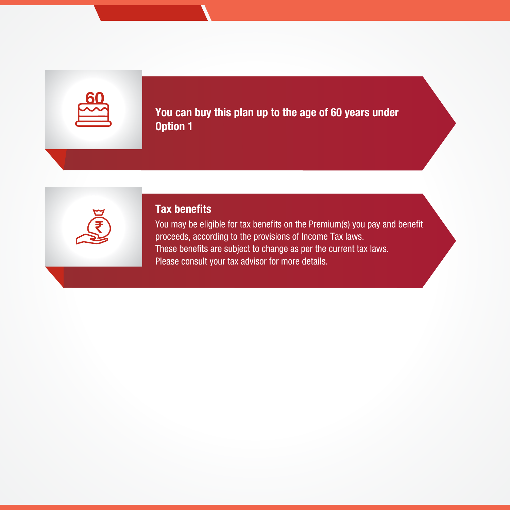You can buy this plan up to the age of 60 years under Option 1



#### Tax benefits

You may be eligible for tax benefits on the Premium(s) you pay and benefit proceeds, according to the provisions of Income Tax laws. These benefits are subject to change as per the current tax laws. Please consult your tax advisor for more details.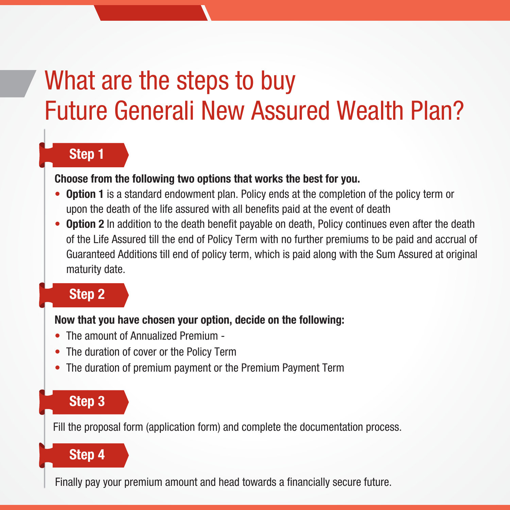# What are the steps to buy Future Generali New Assured Wealth Plan?

### Step 1

#### Choose from the following two options that works the best for you.

- Option 1 is a standard endowment plan. Policy ends at the completion of the policy term or upon the death of the life assured with all benefits paid at the event of death
- Option 2 In addition to the death benefit payable on death, Policy continues even after the death of the Life Assured till the end of Policy Term with no further premiums to be paid and accrual of Guaranteed Additions till end of policy term, which is paid along with the Sum Assured at original maturity date.

## Step 2

### Now that you have chosen your option, decide on the following:

- The amount of Annualized Premium -
- The duration of cover or the Policy Term
- The duration of premium payment or the Premium Payment Term

## Step 3

Fill the proposal form (application form) and complete the documentation process.

## Step 4

Finally pay your premium amount and head towards a financially secure future.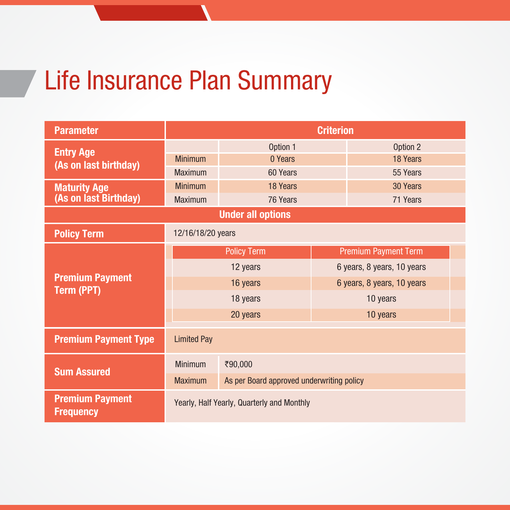# Life Insurance Plan Summary

| <b>Parameter</b>                           | <b>Criterion</b>                           |                                           |                             |  |  |  |  |
|--------------------------------------------|--------------------------------------------|-------------------------------------------|-----------------------------|--|--|--|--|
| <b>Entry Age</b>                           | Option 1                                   |                                           | Option 2                    |  |  |  |  |
| (As on last birthday)                      | <b>Minimum</b>                             | 0 Years<br>18 Years                       |                             |  |  |  |  |
|                                            | <b>Maximum</b>                             | 60 Years                                  | 55 Years                    |  |  |  |  |
| <b>Maturity Age</b>                        | <b>Minimum</b>                             | 18 Years                                  | 30 Years                    |  |  |  |  |
| (As on last Birthday)                      | <b>Maximum</b>                             | 71 Years<br>76 Years                      |                             |  |  |  |  |
| <b>Under all options</b>                   |                                            |                                           |                             |  |  |  |  |
| <b>Policy Term</b>                         | 12/16/18/20 years                          |                                           |                             |  |  |  |  |
| <b>Premium Payment</b>                     | <b>Policy Term</b>                         |                                           | <b>Premium Payment Term</b> |  |  |  |  |
|                                            | 12 years                                   |                                           | 6 years, 8 years, 10 years  |  |  |  |  |
|                                            | 16 years                                   |                                           | 6 years, 8 years, 10 years  |  |  |  |  |
| Term (PPT)                                 | 18 years                                   |                                           | 10 years                    |  |  |  |  |
|                                            | 20 years                                   |                                           | 10 years                    |  |  |  |  |
| <b>Premium Payment Type</b>                | <b>Limited Pay</b>                         |                                           |                             |  |  |  |  |
|                                            | <b>Minimum</b>                             | ₹90,000                                   |                             |  |  |  |  |
| <b>Sum Assured</b>                         | <b>Maximum</b>                             | As per Board approved underwriting policy |                             |  |  |  |  |
| <b>Premium Payment</b><br><b>Frequency</b> | Yearly, Half Yearly, Quarterly and Monthly |                                           |                             |  |  |  |  |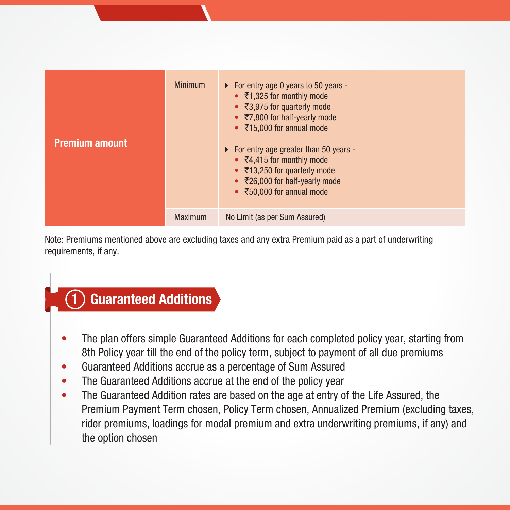| <b>Premium amount</b> | <b>Minimum</b> | • For entry age 0 years to 50 years -<br>• $\overline{5}$ 1,325 for monthly mode<br>• ₹3,975 for quarterly mode<br>• $\overline{57}$ ,800 for half-yearly mode<br>• ₹15,000 for annual mode<br>• For entry age greater than 50 years -<br>$\bullet$ ₹4,415 for monthly mode<br>• ₹13,250 for quarterly mode<br>$\bullet$ ₹26,000 for half-yearly mode<br>$\bullet$ ₹50,000 for annual mode |
|-----------------------|----------------|--------------------------------------------------------------------------------------------------------------------------------------------------------------------------------------------------------------------------------------------------------------------------------------------------------------------------------------------------------------------------------------------|
|                       | <b>Maximum</b> | No Limit (as per Sum Assured)                                                                                                                                                                                                                                                                                                                                                              |

Note: Premiums mentioned above are excluding taxes and any extra Premium paid as a part of underwriting requirements, if any.

#### Guaranteed Additions 1

- The plan offers simple Guaranteed Additions for each completed policy year, starting from 8th Policy year till the end of the policy term, subject to payment of all due premiums
- Guaranteed Additions accrue as a percentage of Sum Assured
- The Guaranteed Additions accrue at the end of the policy year
- The Guaranteed Addition rates are based on the age at entry of the Life Assured, the Premium Payment Term chosen, Policy Term chosen, Annualized Premium (excluding taxes, rider premiums, loadings for modal premium and extra underwriting premiums, if any) and the option chosen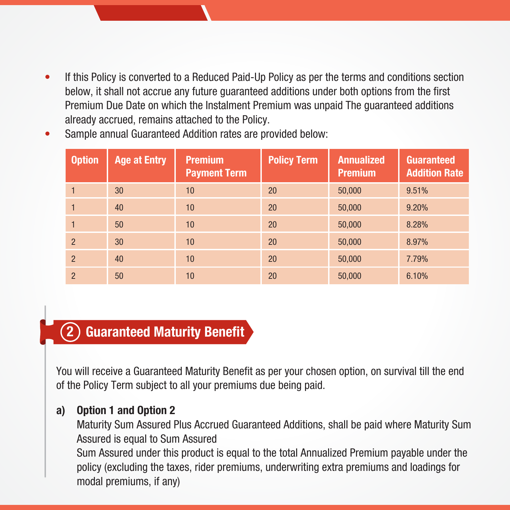If this Policy is converted to a Reduced Paid-Up Policy as per the terms and conditions section below, it shall not accrue any future guaranteed additions under both options from the first Premium Due Date on which the Instalment Premium was unpaid The guaranteed additions already accrued, remains attached to the Policy.

| <b>Option</b>  | <b>Age at Entry</b> | <b>Premium</b><br><b>Payment Term</b> | <b>Policy Term</b> | <b>Annualized</b><br><b>Premium</b> | <b>Guaranteed</b><br><b>Addition Rate</b> |
|----------------|---------------------|---------------------------------------|--------------------|-------------------------------------|-------------------------------------------|
|                | 30                  | 10                                    | <b>20</b>          | 50,000                              | 9.51%                                     |
|                | 40                  | 10                                    | 20                 | 50,000                              | 9.20%                                     |
|                | 50                  | 10                                    | 20                 | 50,000                              | 8.28%                                     |
| $\overline{2}$ | 30                  | 10                                    | 20                 | 50,000                              | 8.97%                                     |
| $\overline{2}$ | 40                  | 10                                    | 20                 | 50,000                              | 7.79%                                     |
| $\overline{2}$ | 50                  | 10                                    | 20                 | 50,000                              | 6.10%                                     |

• Sample annual Guaranteed Addition rates are provided below:

#### Guaranteed Maturity Benefit 2

You will receive a Guaranteed Maturity Benefit as per your chosen option, on survival till the end of the Policy Term subject to all your premiums due being paid.

### a) Option 1 and Option 2

 Maturity Sum Assured Plus Accrued Guaranteed Additions, shall be paid where Maturity Sum Assured is equal to Sum Assured

Sum Assured under this product is equal to the total Annualized Premium payable under the policy (excluding the taxes, rider premiums, underwriting extra premiums and loadings for modal premiums, if any)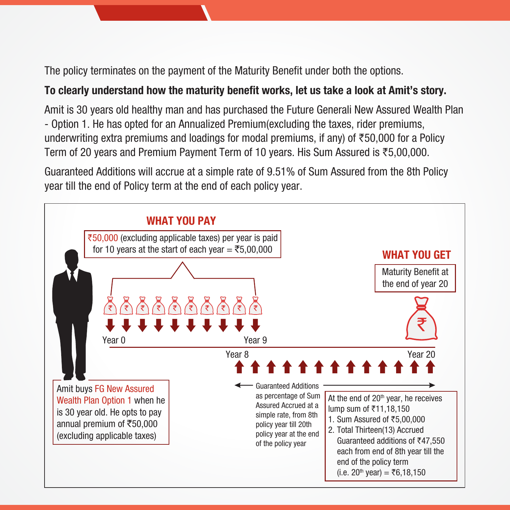The policy terminates on the payment of the Maturity Benefit under both the options.

### To clearly understand how the maturity benefit works, let us take a look at Amit's story.

Amit is 30 years old healthy man and has purchased the Future Generali New Assured Wealth Plan - Option 1. He has opted for an Annualized Premium(excluding the taxes, rider premiums, underwriting extra premiums and loadings for modal premiums, if any) of  $\overline{50,000}$  for a Policy Term of 20 years and Premium Payment Term of 10 years. His Sum Assured is  $\overline{55,00,000}$ .

Guaranteed Additions will accrue at a simple rate of 9.51% of Sum Assured from the 8th Policy year till the end of Policy term at the end of each policy year.

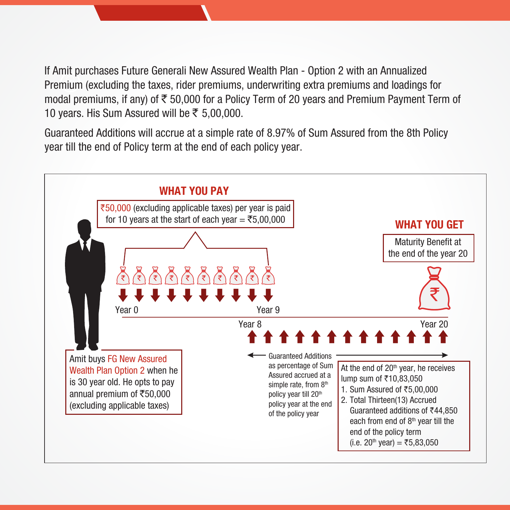Premium (excluding the taxes, rider premiums, underwriting extra premiums and loadings for If Amit purchases Future Generali New Assured Wealth Plan - Option 2 with an Annualized modal premiums, if any) of  $\bar{\tau}$  50,000 for a Policy Term of 20 years and Premium Payment Term of 10 years. His Sum Assured will be  $\overline{\xi}$  5,00,000.

Guaranteed Additions will accrue at a simple rate of 8.97% of Sum Assured from the 8th Policy year till the end of Policy term at the end of each policy year.

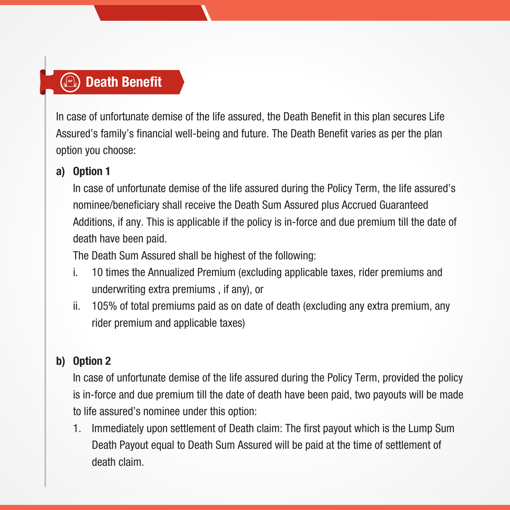## **Death Benefit**

In case of unfortunate demise of the life assured, the Death Benefit in this plan secures Life Assured's family's financial well-being and future. The Death Benefit varies as per the plan option you choose:

## a) Option 1

In case of unfortunate demise of the life assured during the Policy Term, the life assured's nominee/beneficiary shall receive the Death Sum Assured plus Accrued Guaranteed Additions, if any. This is applicable if the policy is in-force and due premium till the date of death have been paid.

The Death Sum Assured shall be highest of the following:

- i. 10 times the Annualized Premium (excluding applicable taxes, rider premiums and underwriting extra premiums , if any), or
- ii. 105% of total premiums paid as on date of death (excluding any extra premium, any rider premium and applicable taxes)

## b) Option 2

In case of unfortunate demise of the life assured during the Policy Term, provided the policy is in-force and due premium till the date of death have been paid, two payouts will be made to life assured's nominee under this option:

 1. Immediately upon settlement of Death claim: The first payout which is the Lump Sum Death Payout equal to Death Sum Assured will be paid at the time of settlement of death claim.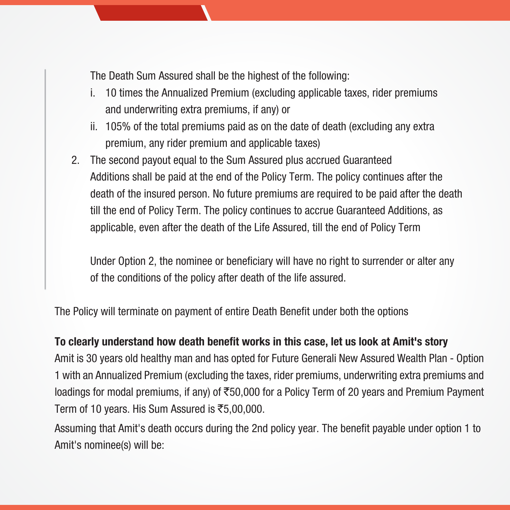The Death Sum Assured shall be the highest of the following:

- i. 10 times the Annualized Premium (excluding applicable taxes, rider premiums and underwriting extra premiums, if any) or
- ii. 105% of the total premiums paid as on the date of death (excluding any extra premium, any rider premium and applicable taxes)
- 2. The second payout equal to the Sum Assured plus accrued Guaranteed Additions shall be paid at the end of the Policy Term. The policy continues after the death of the insured person. No future premiums are required to be paid after the death till the end of Policy Term. The policy continues to accrue Guaranteed Additions, as applicable, even after the death of the Life Assured, till the end of Policy Term

 Under Option 2, the nominee or beneficiary will have no right to surrender or alter any of the conditions of the policy after death of the life assured.

The Policy will terminate on payment of entire Death Benefit under both the options

#### To clearly understand how death benefit works in this case, let us look at Amit's story

Amit is 30 years old healthy man and has opted for Future Generali New Assured Wealth Plan - Option 1 with an Annualized Premium (excluding the taxes, rider premiums, underwriting extra premiums and loadings for modal premiums, if any) of  $\overline{5}50,000$  for a Policy Term of 20 years and Premium Payment Term of 10 years. His Sum Assured is  $\overline{\text{5,00,000}}$ .

Assuming that Amit's death occurs during the 2nd policy year. The benefit payable under option 1 to Amit's nominee(s) will be: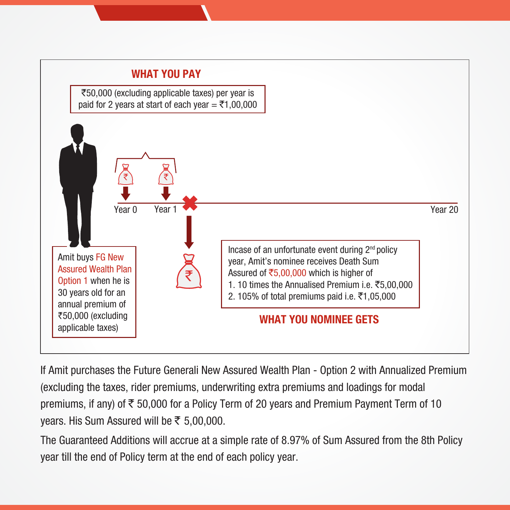

If Amit purchases the Future Generali New Assured Wealth Plan - Option 2 with Annualized Premium (excluding the taxes, rider premiums, underwriting extra premiums and loadings for modal premiums, if any) of  $\overline{\xi}$  50,000 for a Policy Term of 20 years and Premium Payment Term of 10 years. His Sum Assured will be  $\overline{\xi}$  5,00,000.

The Guaranteed Additions will accrue at a simple rate of 8.97% of Sum Assured from the 8th Policy year till the end of Policy term at the end of each policy year.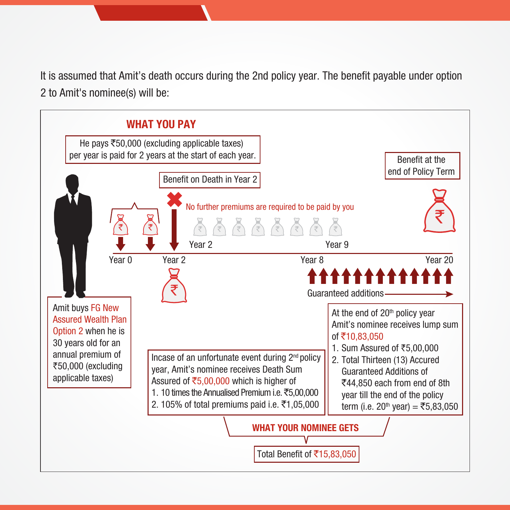It is assumed that Amit's death occurs during the 2nd policy year. The benefit payable under option 2 to Amit's nominee(s) will be:

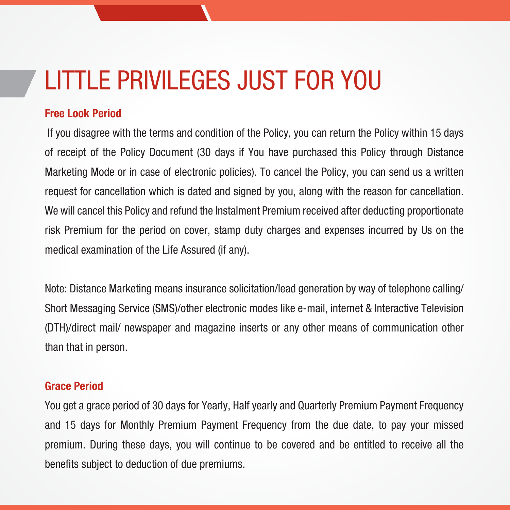# LITTLE PRIVILEGES JUST FOR YOU

#### Free Look Period

 If you disagree with the terms and condition of the Policy, you can return the Policy within 15 days of receipt of the Policy Document (30 days if You have purchased this Policy through Distance Marketing Mode or in case of electronic policies). To cancel the Policy, you can send us a written request for cancellation which is dated and signed by you, along with the reason for cancellation. We will cancel this Policy and refund the Instalment Premium received after deducting proportionate risk Premium for the period on cover, stamp duty charges and expenses incurred by Us on the medical examination of the Life Assured (if any).

Note: Distance Marketing means insurance solicitation/lead generation by way of telephone calling/ Short Messaging Service (SMS)/other electronic modes like e-mail, internet & Interactive Television (DTH)/direct mail/ newspaper and magazine inserts or any other means of communication other than that in person.

#### Grace Period

You get a grace period of 30 days for Yearly, Half yearly and Quarterly Premium Payment Frequency and 15 days for Monthly Premium Payment Frequency from the due date, to pay your missed premium. During these days, you will continue to be covered and be entitled to receive all the benefits subject to deduction of due premiums.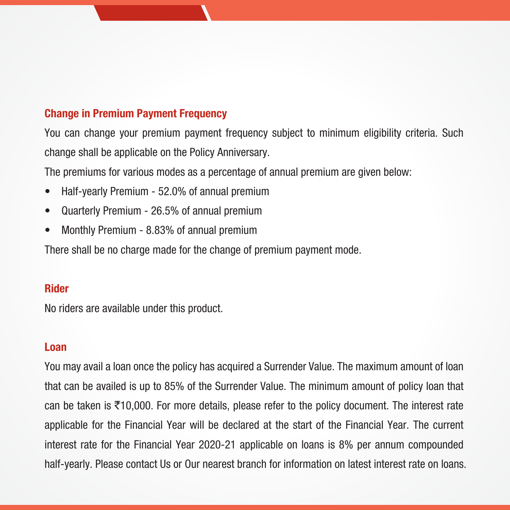#### Change in Premium Payment Frequency

You can change your premium payment frequency subject to minimum eligibility criteria. Such change shall be applicable on the Policy Anniversary.

The premiums for various modes as a percentage of annual premium are given below:

- Half-yearly Premium 52.0% of annual premium
- Quarterly Premium 26.5% of annual premium
- Monthly Premium 8.83% of annual premium

There shall be no charge made for the change of premium payment mode.

#### Rider

No riders are available under this product.

#### Loan

You may avail a loan once the policy has acquired a Surrender Value. The maximum amount of loan that can be availed is up to 85% of the Surrender Value. The minimum amount of policy loan that can be taken is  $\bar{\tau}$ 10,000. For more details, please refer to the policy document. The interest rate applicable for the Financial Year will be declared at the start of the Financial Year. The current interest rate for the Financial Year 2020-21 applicable on loans is 8% per annum compounded half-yearly. Please contact Us or Our nearest branch for information on latest interest rate on loans.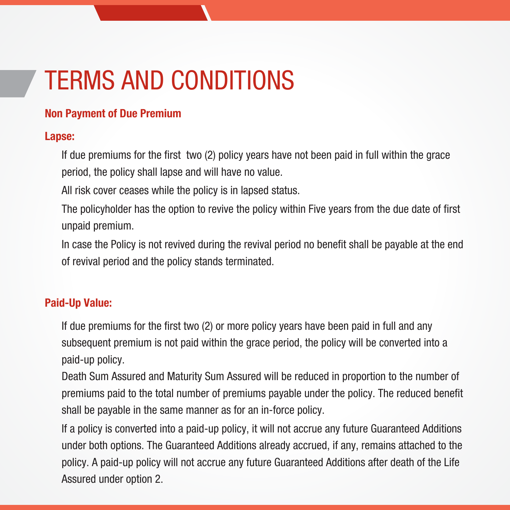# TERMS AND CONDITIONS

#### Non Payment of Due Premium

#### Lapse:

 If due premiums for the first two (2) policy years have not been paid in full within the grace period, the policy shall lapse and will have no value.

All risk cover ceases while the policy is in lapsed status.

 The policyholder has the option to revive the policy within Five years from the due date of first unpaid premium.

 In case the Policy is not revived during the revival period no benefit shall be payable at the end of revival period and the policy stands terminated.

#### Paid-Up Value:

If due premiums for the first two (2) or more policy years have been paid in full and any subsequent premium is not paid within the grace period, the policy will be converted into a paid-up policy.

 Death Sum Assured and Maturity Sum Assured will be reduced in proportion to the number of premiums paid to the total number of premiums payable under the policy. The reduced benefit shall be payable in the same manner as for an in-force policy.

 If a policy is converted into a paid-up policy, it will not accrue any future Guaranteed Additions under both options. The Guaranteed Additions already accrued, if any, remains attached to the policy. A paid-up policy will not accrue any future Guaranteed Additions after death of the Life Assured under option 2.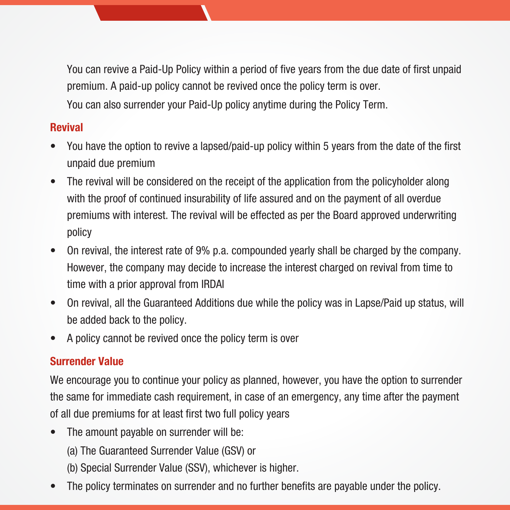You can revive a Paid-Up Policy within a period of five years from the due date of first unpaid premium. A paid-up policy cannot be revived once the policy term is over. You can also surrender your Paid-Up policy anytime during the Policy Term.

### Revival

- You have the option to revive a lapsed/paid-up policy within 5 years from the date of the first unpaid due premium
- The revival will be considered on the receipt of the application from the policyholder along with the proof of continued insurability of life assured and on the payment of all overdue premiums with interest. The revival will be effected as per the Board approved underwriting policy
- On revival, the interest rate of 9% p.a. compounded yearly shall be charged by the company. However, the company may decide to increase the interest charged on revival from time to time with a prior approval from IRDAI
- On revival, all the Guaranteed Additions due while the policy was in Lapse/Paid up status, will be added back to the policy.
- A policy cannot be revived once the policy term is over

## Surrender Value

We encourage you to continue your policy as planned, however, you have the option to surrender the same for immediate cash requirement, in case of an emergency, any time after the payment of all due premiums for at least first two full policy years

- The amount payable on surrender will be:
	- (a) The Guaranteed Surrender Value (GSV) or
	- (b) Special Surrender Value (SSV), whichever is higher.
- The policy terminates on surrender and no further benefits are payable under the policy.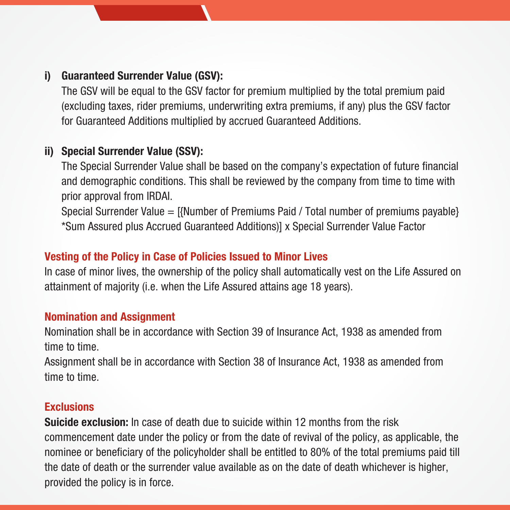### i) Guaranteed Surrender Value (GSV):

The GSV will be equal to the GSV factor for premium multiplied by the total premium paid (excluding taxes, rider premiums, underwriting extra premiums, if any) plus the GSV factor for Guaranteed Additions multiplied by accrued Guaranteed Additions.

#### ii) Special Surrender Value (SSV):

The Special Surrender Value shall be based on the company's expectation of future financial and demographic conditions. This shall be reviewed by the company from time to time with prior approval from IRDAI.

 Special Surrender Value = [{Number of Premiums Paid / Total number of premiums payable} \*Sum Assured plus Accrued Guaranteed Additions)] x Special Surrender Value Factor

### Vesting of the Policy in Case of Policies Issued to Minor Lives

In case of minor lives, the ownership of the policy shall automatically vest on the Life Assured on attainment of majority (i.e. when the Life Assured attains age 18 years).

#### Nomination and Assignment

Nomination shall be in accordance with Section 39 of Insurance Act, 1938 as amended from time to time.

Assignment shall be in accordance with Section 38 of Insurance Act, 1938 as amended from time to time.

#### **Exclusions**

**Suicide exclusion:** In case of death due to suicide within 12 months from the risk commencement date under the policy or from the date of revival of the policy, as applicable, the nominee or beneficiary of the policyholder shall be entitled to 80% of the total premiums paid till the date of death or the surrender value available as on the date of death whichever is higher, provided the policy is in force.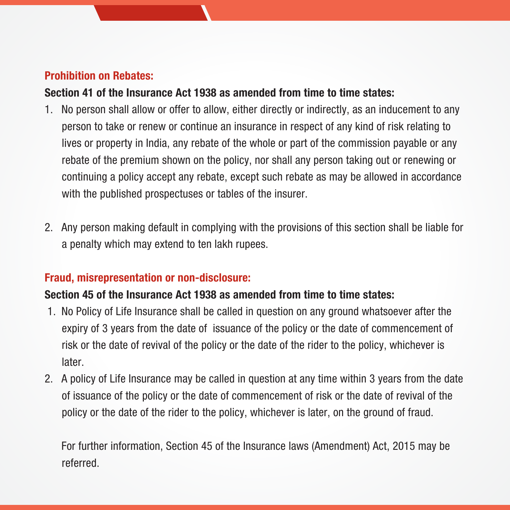### Prohibition on Rebates:

#### Section 41 of the Insurance Act 1938 as amended from time to time states:

- 1. No person shall allow or offer to allow, either directly or indirectly, as an inducement to any person to take or renew or continue an insurance in respect of any kind of risk relating to lives or property in India, any rebate of the whole or part of the commission payable or any rebate of the premium shown on the policy, nor shall any person taking out or renewing or continuing a policy accept any rebate, except such rebate as may be allowed in accordance with the published prospectuses or tables of the insurer.
- 2. Any person making default in complying with the provisions of this section shall be liable for a penalty which may extend to ten lakh rupees.

#### Fraud, misrepresentation or non-disclosure:

#### Section 45 of the Insurance Act 1938 as amended from time to time states:

- 1. No Policy of Life Insurance shall be called in question on any ground whatsoever after the expiry of 3 years from the date of issuance of the policy or the date of commencement of risk or the date of revival of the policy or the date of the rider to the policy, whichever is later.
- 2. A policy of Life Insurance may be called in question at any time within 3 years from the date of issuance of the policy or the date of commencement of risk or the date of revival of the policy or the date of the rider to the policy, whichever is later, on the ground of fraud.

 For further information, Section 45 of the Insurance laws (Amendment) Act, 2015 may be referred.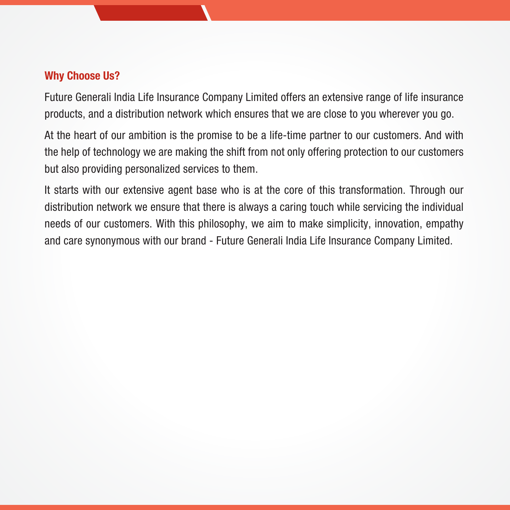#### Why Choose Us?

Future Generali India Life Insurance Company Limited offers an extensive range of life insurance products, and a distribution network which ensures that we are close to you wherever you go.

At the heart of our ambition is the promise to be a life-time partner to our customers. And with the help of technology we are making the shift from not only offering protection to our customers but also providing personalized services to them.

It starts with our extensive agent base who is at the core of this transformation. Through our distribution network we ensure that there is always a caring touch while servicing the individual needs of our customers. With this philosophy, we aim to make simplicity, innovation, empathy and care synonymous with our brand - Future Generali India Life Insurance Company Limited.